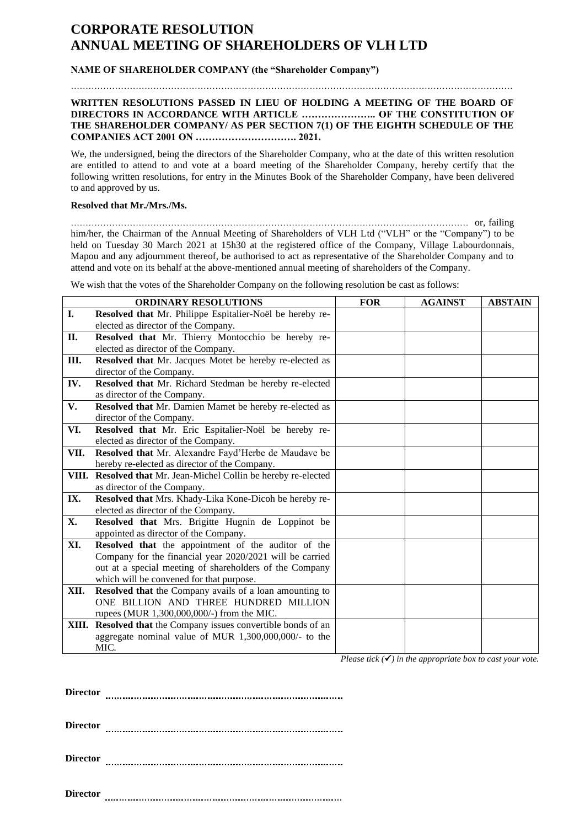## **CORPORATE RESOLUTION ANNUAL MEETING OF SHAREHOLDERS OF VLH LTD**

## **NAME OF SHAREHOLDER COMPANY (the "Shareholder Company")**

## **WRITTEN RESOLUTIONS PASSED IN LIEU OF HOLDING A MEETING OF THE BOARD OF DIRECTORS IN ACCORDANCE WITH ARTICLE ………………….. OF THE CONSTITUTION OF THE SHAREHOLDER COMPANY/ AS PER SECTION 7(1) OF THE EIGHTH SCHEDULE OF THE COMPANIES ACT 2001 ON …………………………. 2021.**

We, the undersigned, being the directors of the Shareholder Company, who at the date of this written resolution are entitled to attend to and vote at a board meeting of the Shareholder Company, hereby certify that the following written resolutions, for entry in the Minutes Book of the Shareholder Company, have been delivered to and approved by us.

## **Resolved that Mr./Mrs./Ms.**

……………………………………………………………………………………………………………………… or, failing him/her, the Chairman of the Annual Meeting of Shareholders of VLH Ltd ("VLH" or the "Company") to be held on Tuesday 30 March 2021 at 15h30 at the registered office of the Company, Village Labourdonnais, Mapou and any adjournment thereof, be authorised to act as representative of the Shareholder Company and to attend and vote on its behalf at the above-mentioned annual meeting of shareholders of the Company.

We wish that the votes of the Shareholder Company on the following resolution be cast as follows:

| <b>ORDINARY RESOLUTIONS</b> |                                                                 | <b>FOR</b>                        | <b>AGAINST</b> | <b>ABSTAIN</b> |
|-----------------------------|-----------------------------------------------------------------|-----------------------------------|----------------|----------------|
| I.                          | Resolved that Mr. Philippe Espitalier-Noël be hereby re-        |                                   |                |                |
|                             | elected as director of the Company.                             |                                   |                |                |
| <b>II.</b>                  | Resolved that Mr. Thierry Montocchio be hereby re-              |                                   |                |                |
|                             | elected as director of the Company.                             |                                   |                |                |
| Ш.                          | Resolved that Mr. Jacques Motet be hereby re-elected as         |                                   |                |                |
|                             | director of the Company.                                        |                                   |                |                |
| IV.                         | Resolved that Mr. Richard Stedman be hereby re-elected          |                                   |                |                |
|                             | as director of the Company.                                     |                                   |                |                |
| V.                          | Resolved that Mr. Damien Mamet be hereby re-elected as          |                                   |                |                |
|                             | director of the Company.                                        |                                   |                |                |
| VI.                         | Resolved that Mr. Eric Espitalier-Noël be hereby re-            |                                   |                |                |
|                             | elected as director of the Company.                             |                                   |                |                |
| VII.                        | Resolved that Mr. Alexandre Fayd'Herbe de Maudave be            |                                   |                |                |
|                             | hereby re-elected as director of the Company.                   |                                   |                |                |
|                             | VIII. Resolved that Mr. Jean-Michel Collin be hereby re-elected |                                   |                |                |
|                             | as director of the Company.                                     |                                   |                |                |
| IX.                         | Resolved that Mrs. Khady-Lika Kone-Dicoh be hereby re-          |                                   |                |                |
|                             | elected as director of the Company.                             |                                   |                |                |
| X.                          | Resolved that Mrs. Brigitte Hugnin de Loppinot be               |                                   |                |                |
|                             | appointed as director of the Company.                           |                                   |                |                |
| XI.                         | Resolved that the appointment of the auditor of the             |                                   |                |                |
|                             | Company for the financial year 2020/2021 will be carried        |                                   |                |                |
|                             | out at a special meeting of shareholders of the Company         |                                   |                |                |
|                             | which will be convened for that purpose.                        |                                   |                |                |
| XII.                        | Resolved that the Company avails of a loan amounting to         |                                   |                |                |
|                             | ONE BILLION AND THREE HUNDRED MILLION                           |                                   |                |                |
|                             | rupees (MUR 1,300,000,000/-) from the MIC.                      |                                   |                |                |
|                             | XIII. Resolved that the Company issues convertible bonds of an  |                                   |                |                |
|                             | aggregate nominal value of MUR 1,300,000,000/- to the           |                                   |                |                |
|                             | MIC.                                                            | $\mathbf{r}$<br>$\cdots$ $\cdots$ |                |                |

*Please tick*  $(\checkmark)$  *in the appropriate box to cast your vote.* 

**Director**

**Director**

**Director**

**Director**